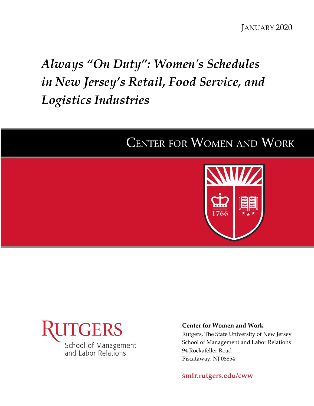# *Always "On Duty": Women's Schedules in New Jersey's Retail, Food Service, and Logistics Industries*

# **CENTER FOR WOMEN AND WORK**





# **Center for Women and Work**

Rutgers, The State University of New Jersey School of Management and Labor Relations 94 Rockafeller Road Piscataway, NJ 08854

**[smlr.rutgers.edu/cww](https://smlr.rutgers.edu/cww)**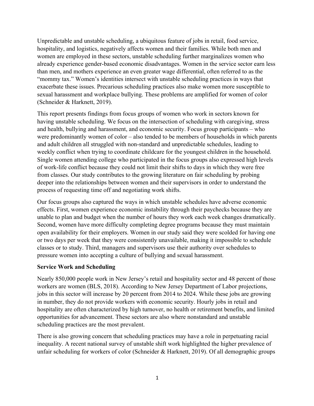Unpredictable and unstable scheduling, a ubiquitous feature of jobs in retail, food service, hospitality, and logistics, negatively affects women and their families. While both men and women are employed in these sectors, unstable scheduling further marginalizes women who already experience gender-based economic disadvantages. Women in the service sector earn less than men, and mothers experience an even greater wage differential, often referred to as the "mommy tax." Women's identities intersect with unstable scheduling practices in ways that exacerbate these issues. Precarious scheduling practices also make women more susceptible to sexual harassment and workplace bullying. These problems are amplified for women of color (Schneider & Harknett, 2019).

This report presents findings from focus groups of women who work in sectors known for having unstable scheduling. We focus on the intersection of scheduling with caregiving, stress and health, bullying and harassment, and economic security. Focus group participants – who were predominantly women of color – also tended to be members of households in which parents and adult children all struggled with non-standard and unpredictable schedules, leading to weekly conflict when trying to coordinate childcare for the youngest children in the household. Single women attending college who participated in the focus groups also expressed high levels of work-life conflict because they could not limit their shifts to days in which they were free from classes. Our study contributes to the growing literature on fair scheduling by probing deeper into the relationships between women and their supervisors in order to understand the process of requesting time off and negotiating work shifts.

Our focus groups also captured the ways in which unstable schedules have adverse economic effects. First, women experience economic instability through their paychecks because they are unable to plan and budget when the number of hours they work each week changes dramatically. Second, women have more difficulty completing degree programs because they must maintain open availability for their employers. Women in our study said they were scolded for having one or two days per week that they were consistently unavailable, making it impossible to schedule classes or to study. Third, managers and supervisors use their authority over schedules to pressure women into accepting a culture of bullying and sexual harassment.

#### **Service Work and Scheduling**

Nearly 850,000 people work in New Jersey's retail and hospitality sector and 48 percent of those workers are women (BLS, 2018). According to New Jersey Department of Labor projections, jobs in this sector will increase by 20 percent from 2014 to 2024. While these jobs are growing in number, they do not provide workers with economic security. Hourly jobs in retail and hospitality are often characterized by high turnover, no health or retirement benefits, and limited opportunities for advancement. These sectors are also where nonstandard and unstable scheduling practices are the most prevalent.

There is also growing concern that scheduling practices may have a role in perpetuating racial inequality. A recent national survey of unstable shift work highlighted the higher prevalence of unfair scheduling for workers of color (Schneider & Harknett, 2019). Of all demographic groups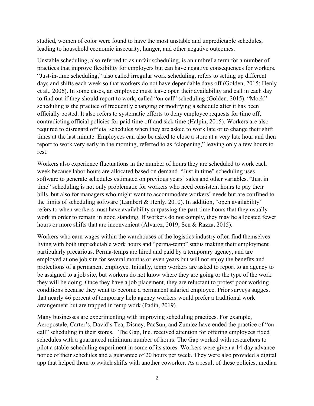studied, women of color were found to have the most unstable and unpredictable schedules, leading to household economic insecurity, hunger, and other negative outcomes.

Unstable scheduling, also referred to as unfair scheduling, is an umbrella term for a number of practices that improve flexibility for employers but can have negative consequences for workers. "Just-in-time scheduling," also called irregular work scheduling, refers to setting up different days and shifts each week so that workers do not have dependable days off (Golden, 2015; Henly et al., 2006). In some cases, an employee must leave open their availability and call in each day to find out if they should report to work, called "on-call" scheduling (Golden, 2015). "Mock" scheduling is the practice of frequently changing or modifying a schedule after it has been officially posted. It also refers to systematic efforts to deny employee requests for time off, contradicting official policies for paid time off and sick time (Halpin, 2015). Workers are also required to disregard official schedules when they are asked to work late or to change their shift times at the last minute. Employees can also be asked to close a store at a very late hour and then report to work very early in the morning, referred to as "clopening," leaving only a few hours to rest.

Workers also experience fluctuations in the number of hours they are scheduled to work each week because labor hours are allocated based on demand. "Just in time" scheduling uses software to generate schedules estimated on previous years' sales and other variables. "Just in time" scheduling is not only problematic for workers who need consistent hours to pay their bills, but also for managers who might want to accommodate workers' needs but are confined to the limits of scheduling software (Lambert & Henly, 2010). In addition, "open availability" refers to when workers must have availability surpassing the part-time hours that they usually work in order to remain in good standing. If workers do not comply, they may be allocated fewer hours or more shifts that are inconvenient (Alvarez, 2019; Sen & Razza, 2015).

Workers who earn wages within the warehouses of the logistics industry often find themselves living with both unpredictable work hours and "perma-temp" status making their employment particularly precarious. Perma-temps are hired and paid by a temporary agency, and are employed at one job site for several months or even years but will not enjoy the benefits and protections of a permanent employee. Initially, temp workers are asked to report to an agency to be assigned to a job site, but workers do not know where they are going or the type of the work they will be doing. Once they have a job placement, they are reluctant to protest poor working conditions because they want to become a permanent salaried employee. Prior surveys suggest that nearly 46 percent of temporary help agency workers would prefer a traditional work arrangement but are trapped in temp work (Padin, 2019).

Many businesses are experimenting with improving scheduling practices. For example, Aeropostale, Carter's, David's Tea, Disney, PacSun, and Zumiez have ended the practice of "oncall" scheduling in their stores. The Gap, Inc. received attention for offering employees fixed schedules with a guaranteed minimum number of hours. The Gap worked with researchers to pilot a stable-scheduling experiment in some of its stores. Workers were given a 14-day advance notice of their schedules and a guarantee of 20 hours per week. They were also provided a digital app that helped them to switch shifts with another coworker. As a result of these policies, median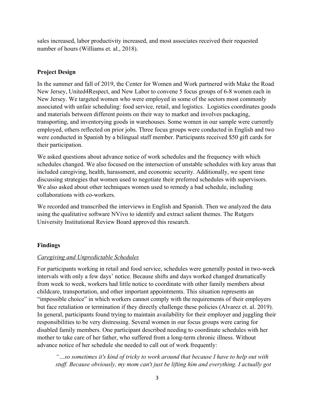sales increased, labor productivity increased, and most associates received their requested number of hours (Williams et. al., 2018).

# **Project Design**

In the summer and fall of 2019, the Center for Women and Work partnered with Make the Road New Jersey, United4Respect, and New Labor to convene 5 focus groups of 6-8 women each in New Jersey. We targeted women who were employed in some of the sectors most commonly associated with unfair scheduling: food service, retail, and logistics. Logistics coordinates goods and materials between different points on their way to market and involves packaging, transporting, and inventorying goods in warehouses. Some women in our sample were currently employed, others reflected on prior jobs. Three focus groups were conducted in English and two were conducted in Spanish by a bilingual staff member. Participants received \$50 gift cards for their participation.

We asked questions about advance notice of work schedules and the frequency with which schedules changed. We also focused on the intersection of unstable schedules with key areas that included caregiving, health, harassment, and economic security. Additionally, we spent time discussing strategies that women used to negotiate their preferred schedules with supervisors. We also asked about other techniques women used to remedy a bad schedule, including collaborations with co-workers.

We recorded and transcribed the interviews in English and Spanish. Then we analyzed the data using the qualitative software NVivo to identify and extract salient themes. The Rutgers University Institutional Review Board approved this research.

# **Findings**

# *Caregiving and Unpredictable Schedules*

For participants working in retail and food service, schedules were generally posted in two-week intervals with only a few days' notice. Because shifts and days worked changed dramatically from week to week, workers had little notice to coordinate with other family members about childcare, transportation, and other important appointments. This situation represents an "impossible choice" in which workers cannot comply with the requirements of their employers but face retaliation or termination if they directly challenge these policies (Alvarez et. al. 2019). In general, participants found trying to maintain availability for their employer and juggling their responsibilities to be very distressing. Several women in our focus groups were caring for disabled family members. One participant described needing to coordinate schedules with her mother to take care of her father, who suffered from a long-term chronic illness. Without advance notice of her schedule she needed to call out of work frequently:

*"…so sometimes it's kind of tricky to work around that because I have to help out with stuff. Because obviously, my mom can't just be lifting him and everything. I actually got*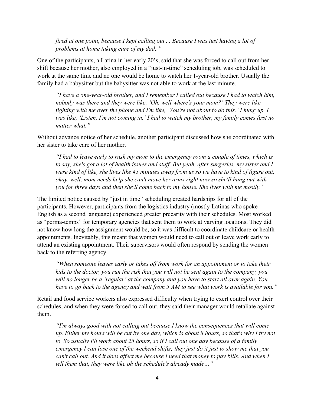*fired at one point, because I kept calling out ... Because I was just having a lot of problems at home taking care of my dad.."*

One of the participants, a Latina in her early 20's, said that she was forced to call out from her shift because her mother, also employed in a "just-in-time" scheduling job, was scheduled to work at the same time and no one would be home to watch her 1-year-old brother. Usually the family had a babysitter but the babysitter was not able to work at the last minute.

*"I have a one-year-old brother, and I remember I called out because I had to watch him, nobody was there and they were like, 'Oh, well where's your mom?' They were like fighting with me over the phone and I'm like, 'You're not about to do this.' I hung up. I was like, 'Listen, I'm not coming in.' I had to watch my brother, my family comes first no matter what."*

Without advance notice of her schedule, another participant discussed how she coordinated with her sister to take care of her mother.

*"I had to leave early to rush my mom to the emergency room a couple of times, which is to say, she's got a lot of health issues and stuff. But yeah, after surgeries, my sister and I were kind of like, she lives like 45 minutes away from us so we have to kind of figure out, okay, well, mom needs help she can't move her arms right now so she'll hang out with you for three days and then she'll come back to my house. She lives with me mostly."*

The limited notice caused by "just in time" scheduling created hardships for all of the participants. However, participants from the logistics industry (mostly Latinas who spoke English as a second language) experienced greater precarity with their schedules. Most worked as "perma-temps" for temporary agencies that sent them to work at varying locations. They did not know how long the assignment would be, so it was difficult to coordinate childcare or health appointments. Inevitably, this meant that women would need to call out or leave work early to attend an existing appointment. Their supervisors would often respond by sending the women back to the referring agency.

*"When someone leaves early or takes off from work for an appointment or to take their kids to the doctor, you run the risk that you will not be sent again to the company, you will no longer be a 'regular' at the company and you have to start all over again. You have to go back to the agency and wait from 5 AM to see what work is available for you."*

Retail and food service workers also expressed difficulty when trying to exert control over their schedules, and when they were forced to call out, they said their manager would retaliate against them.

*"I'm always good with not calling out because I know the consequences that will come up. Either my hours will be cut by one day, which is about 8 hours, so that's why I try not to. So usually I'll work about 25 hours, so if I call out one day because of a family emergency I can lose one of the weekend shifts; they just do it just to show me that you can't call out. And it does affect me because I need that money to pay bills. And when I tell them that, they were like oh the schedule's already made…"*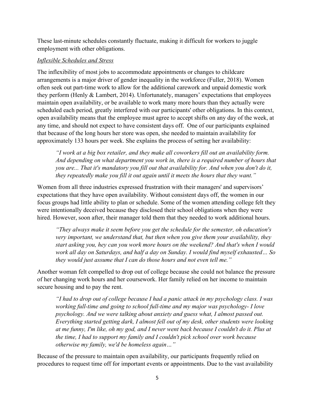These last-minute schedules constantly fluctuate, making it difficult for workers to juggle employment with other obligations.

# *Inflexible Schedules and Stress*

The inflexibility of most jobs to accommodate appointments or changes to childcare arrangements is a major driver of gender inequality in the workforce (Fuller, 2018). Women often seek out part-time work to allow for the additional carework and unpaid domestic work they perform (Henly & Lambert, 2014). Unfortunately, managers' expectations that employees maintain open availability, or be available to work many more hours than they actually were scheduled each period, greatly interfered with our participants' other obligations. In this context, open availability means that the employee must agree to accept shifts on any day of the week, at any time, and should not expect to have consistent days off. One of our participants explained that because of the long hours her store was open, she needed to maintain availability for approximately 133 hours per week. She explains the process of setting her availability:

*"I work at a big box retailer, and they make all coworkers fill out an availability form. And depending on what department you work in, there is a required number of hours that you are... That it's mandatory you fill out that availability for. And when you don't do it, they repeatedly make you fill it out again until it meets the hours that they want."*

Women from all three industries expressed frustration with their managers' and supervisors' expectations that they have open availability. Without consistent days off, the women in our focus groups had little ability to plan or schedule. Some of the women attending college felt they were intentionally deceived because they disclosed their school obligations when they were hired. However, soon after, their manager told them that they needed to work additional hours.

*"They always make it seem before you get the schedule for the semester, oh education's very important, we understand that, but then when you give them your availability, they start asking you, hey can you work more hours on the weekend? And that's when I would work all day on Saturdays, and half a day on Sunday. I would find myself exhausted… So they would just assume that I can do those hours and not even tell me."* 

Another woman felt compelled to drop out of college because she could not balance the pressure of her changing work hours and her coursework. Her family relied on her income to maintain secure housing and to pay the rent.

*"I had to drop out of college because I had a panic attack in my psychology class. I was working full-time and going to school full-time and my major was psychology- I love psychology. And we were talking about anxiety and guess what, I almost passed out. Everything started getting dark, I almost fell out of my desk, other students were looking at me funny, I'm like, oh my god, and I never went back because I couldn't do it. Plus at the time, I had to support my family and I couldn't pick school over work because otherwise my family, we'd be homeless again…"*

Because of the pressure to maintain open availability, our participants frequently relied on procedures to request time off for important events or appointments. Due to the vast availability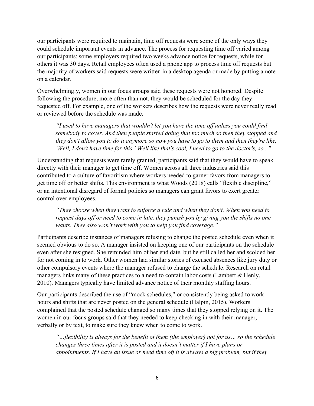our participants were required to maintain, time off requests were some of the only ways they could schedule important events in advance. The process for requesting time off varied among our participants: some employers required two weeks advance notice for requests, while for others it was 30 days. Retail employees often used a phone app to process time off requests but the majority of workers said requests were written in a desktop agenda or made by putting a note on a calendar.

Overwhelmingly, women in our focus groups said these requests were not honored. Despite following the procedure, more often than not, they would be scheduled for the day they requested off. For example, one of the workers describes how the requests were never really read or reviewed before the schedule was made.

*"I used to have managers that wouldn't let you have the time off unless you could find somebody to cover. And then people started doing that too much so then they stopped and they don't allow you to do it anymore so now you have to go to them and then they're like, 'Well, I don't have time for this.' Well like that's cool, I need to go to the doctor's, so..."*

Understanding that requests were rarely granted, participants said that they would have to speak directly with their manager to get time off. Women across all three industries said this contributed to a culture of favoritism where workers needed to garner favors from managers to get time off or better shifts. This environment is what Woods (2018) calls "flexible discipline," or an intentional disregard of formal policies so managers can grant favors to exert greater control over employees.

*"They choose when they want to enforce a rule and when they don't. When you need to request days off or need to come in late, they punish you by giving you the shifts no one wants. They also won't work with you to help you find coverage."*

Participants describe instances of managers refusing to change the posted schedule even when it seemed obvious to do so. A manager insisted on keeping one of our participants on the schedule even after she resigned. She reminded him of her end date, but he still called her and scolded her for not coming in to work. Other women had similar stories of excused absences like jury duty or other compulsory events where the manager refused to change the schedule. Research on retail managers links many of these practices to a need to contain labor costs (Lambert & Henly, 2010). Managers typically have limited advance notice of their monthly staffing hours.

Our participants described the use of "mock schedules," or consistently being asked to work hours and shifts that are never posted on the general schedule (Halpin, 2015). Workers complained that the posted schedule changed so many times that they stopped relying on it. The women in our focus groups said that they needed to keep checking in with their manager, verbally or by text, to make sure they knew when to come to work.

*"…flexibility is always for the benefit of them (the employer) not for us… so the schedule changes three times after it is posted and it doesn't matter if I have plans or appointments. If I have an issue or need time off it is always a big problem, but if they*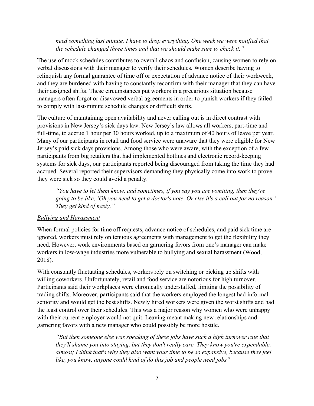# *need something last minute, I have to drop everything. One week we were notified that the schedule changed three times and that we should make sure to check it."*

The use of mock schedules contributes to overall chaos and confusion, causing women to rely on verbal discussions with their manager to verify their schedules. Women describe having to relinquish any formal guarantee of time off or expectation of advance notice of their workweek, and they are burdened with having to constantly reconfirm with their manager that they can have their assigned shifts. These circumstances put workers in a precarious situation because managers often forgot or disavowed verbal agreements in order to punish workers if they failed to comply with last-minute schedule changes or difficult shifts.

The culture of maintaining open availability and never calling out is in direct contrast with provisions in New Jersey's sick days law. New Jersey's law allows all workers, part-time and full-time, to accrue 1 hour per 30 hours worked, up to a maximum of 40 hours of leave per year. Many of our participants in retail and food service were unaware that they were eligible for New Jersey's paid sick days provisions. Among those who were aware, with the exception of a few participants from big retailers that had implemented hotlines and electronic record-keeping systems for sick days, our participants reported being discouraged from taking the time they had accrued. Several reported their supervisors demanding they physically come into work to prove they were sick so they could avoid a penalty.

*"You have to let them know, and sometimes, if you say you are vomiting, then they're going to be like, 'Oh you need to get a doctor's note. Or else it's a call out for no reason.' They get kind of nasty."*

#### *Bullying and Harassment*

When formal policies for time off requests, advance notice of schedules, and paid sick time are ignored, workers must rely on tenuous agreements with management to get the flexibility they need. However, work environments based on garnering favors from one's manager can make workers in low-wage industries more vulnerable to bullying and sexual harassment (Wood, 2018).

With constantly fluctuating schedules, workers rely on switching or picking up shifts with willing coworkers. Unfortunately, retail and food service are notorious for high turnover. Participants said their workplaces were chronically understaffed, limiting the possibility of trading shifts. Moreover, participants said that the workers employed the longest had informal seniority and would get the best shifts. Newly hired workers were given the worst shifts and had the least control over their schedules. This was a major reason why women who were unhappy with their current employer would not quit. Leaving meant making new relationships and garnering favors with a new manager who could possibly be more hostile.

*"But then someone else was speaking of these jobs have such a high turnover rate that they'll shame you into staying, but they don't really care. They know you're expendable, almost; I think that's why they also want your time to be so expansive, because they feel like, you know, anyone could kind of do this job and people need jobs"*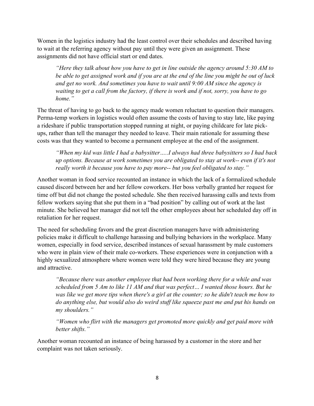Women in the logistics industry had the least control over their schedules and described having to wait at the referring agency without pay until they were given an assignment. These assignments did not have official start or end dates.

*"Here they talk about how you have to get in line outside the agency around 5:30 AM to be able to get assigned work and if you are at the end of the line you might be out of luck and get no work. And sometimes you have to wait until 9:00 AM since the agency is waiting to get a call from the factory, if there is work and if not, sorry, you have to go home."*

The threat of having to go back to the agency made women reluctant to question their managers. Perma-temp workers in logistics would often assume the costs of having to stay late, like paying a rideshare if public transportation stopped running at night, or paying childcare for late pickups, rather than tell the manager they needed to leave. Their main rationale for assuming these costs was that they wanted to become a permanent employee at the end of the assignment.

*"When my kid was little I had a babysitter…..I always had three babysitters so I had back up options. Because at work sometimes you are obligated to stay at work-- even if it's not really worth it because you have to pay more-- but you feel obligated to stay."*

Another woman in food service recounted an instance in which the lack of a formalized schedule caused discord between her and her fellow coworkers. Her boss verbally granted her request for time off but did not change the posted schedule. She then received harassing calls and texts from fellow workers saying that she put them in a "bad position" by calling out of work at the last minute. She believed her manager did not tell the other employees about her scheduled day off in retaliation for her request.

The need for scheduling favors and the great discretion managers have with administering policies make it difficult to challenge harassing and bullying behaviors in the workplace. Many women, especially in food service, described instances of sexual harassment by male customers who were in plain view of their male co-workers. These experiences were in conjunction with a highly sexualized atmosphere where women were told they were hired because they are young and attractive.

*"Because there was another employee that had been working there for a while and was scheduled from 5 Am to like 11 AM and that was perfect… I wanted those hours. But he was like we get more tips when there's a girl at the counter; so he didn't teach me how to do anything else, but would also do weird stuff like squeeze past me and put his hands on my shoulders."* 

*"Women who flirt with the managers get promoted more quickly and get paid more with better shifts."*

Another woman recounted an instance of being harassed by a customer in the store and her complaint was not taken seriously.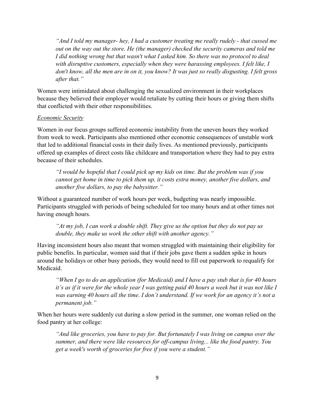*"And I told my manager- hey, I had a customer treating me really rudely - that cussed me out on the way out the store. He (the manager) checked the security cameras and told me I did nothing wrong but that wasn't what I asked him. So there was no protocol to deal with disruptive customers, especially when they were harassing employees. I felt like, I don't know, all the men are in on it, you know? It was just so really disgusting. I felt gross after that."*

Women were intimidated about challenging the sexualized environment in their workplaces because they believed their employer would retaliate by cutting their hours or giving them shifts that conflicted with their other responsibilities.

#### *Economic Security*

Women in our focus groups suffered economic instability from the uneven hours they worked from week to week. Participants also mentioned other economic consequences of unstable work that led to additional financial costs in their daily lives. As mentioned previously, participants offered up examples of direct costs like childcare and transportation where they had to pay extra because of their schedules.

*"I would be hopeful that I could pick up my kids on time. But the problem was if you cannot get home in time to pick them up, it costs extra money, another five dollars, and another five dollars, to pay the babysitter."*

Without a guaranteed number of work hours per week, budgeting was nearly impossible. Participants struggled with periods of being scheduled for too many hours and at other times not having enough hours.

*"At my job, I can work a double shift. They give us the option but they do not pay us double, they make us work the other shift with another agency."*

Having inconsistent hours also meant that women struggled with maintaining their eligibility for public benefits. In particular, women said that if their jobs gave them a sudden spike in hours around the holidays or other busy periods, they would need to fill out paperwork to requalify for Medicaid.

*"When I go to do an application (for Medicaid) and I have a pay stub that is for 40 hours it's as if it were for the whole year I was getting paid 40 hours a week but it was not like I was earning 40 hours all the time. I don't understand. If we work for an agency it's not a permanent job."*

When her hours were suddenly cut during a slow period in the summer, one woman relied on the food pantry at her college:

*"And like groceries, you have to pay for. But fortunately I was living on campus over the summer, and there were like resources for off-campus living... like the food pantry. You get a week's worth of groceries for free if you were a student."*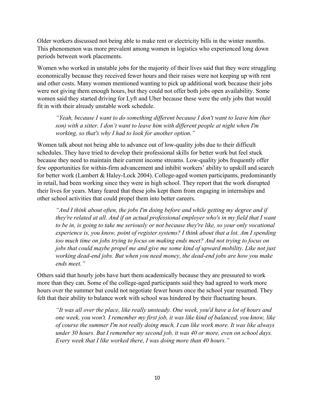Older workers discussed not being able to make rent or electricity bills in the winter months. This phenomenon was more prevalent among women in logistics who experienced long down periods between work placements.

Women who worked in unstable jobs for the majority of their lives said that they were struggling economically because they received fewer hours and their raises were not keeping up with rent and other costs. Many women mentioned wanting to pick up additional work because their jobs were not giving them enough hours, but they could not offer both jobs open availability. Some women said they started driving for Lyft and Uber because these were the only jobs that would fit in with their already unstable work schedule.

*"Yeah, because I want to do something different because I don't want to leave him (her son) with a sitter. I don't want to leave him with different people at night when I'm working, so that's why I had to look for another option."*

Women talk about not being able to advance out of low-quality jobs due to their difficult schedules. They have tried to develop their professional skills for better work but feel stuck because they need to maintain their current income streams. Low-quality jobs frequently offer few opportunities for within-firm advancement and inhibit workers' ability to upskill and search for better work (Lambert & Haley-Lock 2004). College-aged women participants, predominantly in retail, had been working since they were in high school. They report that the work disrupted their lives for years. Many feared that these jobs kept them from engaging in internships and other school activities that could propel them into better careers.

*"And I think about often, the jobs I'm doing before and while getting my degree and if they're related at all. And if an actual professional employer who's in my field that I want to be in, is going to take me seriously or not because they're like, so your only vocational experience is, you know, point of register systems? I think about that a lot. Am I spending too much time on jobs trying to focus on making ends meet? And not trying to focus on jobs that could maybe propel me and give me some kind of upward mobility. Like not just working dead-end jobs. But when you need money, the dead-end jobs are how you make ends meet."*

Others said that hourly jobs have hurt them academically because they are pressured to work more than they can. Some of the college-aged participants said they had agreed to work more hours over the summer but could not negotiate fewer hours once the school year resumed. They felt that their ability to balance work with school was hindered by their fluctuating hours.

*"It was all over the place, like really unsteady. One week, you'd have a lot of hours and one week, you won't. I remember my first job, it was like kind of balanced, you know, like of course the summer I'm not really doing much, I can like work more. It was like always under 30 hours. But I remember my second job, it was 40 or more, even on school days. Every week that I like worked there, I was doing more than 40 hours."*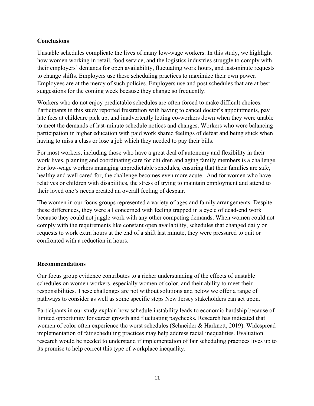# **Conclusions**

Unstable schedules complicate the lives of many low-wage workers. In this study, we highlight how women working in retail, food service, and the logistics industries struggle to comply with their employers' demands for open availability, fluctuating work hours, and last-minute requests to change shifts. Employers use these scheduling practices to maximize their own power. Employees are at the mercy of such policies. Employers use and post schedules that are at best suggestions for the coming week because they change so frequently.

Workers who do not enjoy predictable schedules are often forced to make difficult choices. Participants in this study reported frustration with having to cancel doctor's appointments, pay late fees at childcare pick up, and inadvertently letting co-workers down when they were unable to meet the demands of last-minute schedule notices and changes. Workers who were balancing participation in higher education with paid work shared feelings of defeat and being stuck when having to miss a class or lose a job which they needed to pay their bills.

For most workers, including those who have a great deal of autonomy and flexibility in their work lives, planning and coordinating care for children and aging family members is a challenge. For low-wage workers managing unpredictable schedules, ensuring that their families are safe, healthy and well cared for, the challenge becomes even more acute. And for women who have relatives or children with disabilities, the stress of trying to maintain employment and attend to their loved one's needs created an overall feeling of despair.

The women in our focus groups represented a variety of ages and family arrangements. Despite these differences, they were all concerned with feeling trapped in a cycle of dead-end work because they could not juggle work with any other competing demands. When women could not comply with the requirements like constant open availability, schedules that changed daily or requests to work extra hours at the end of a shift last minute, they were pressured to quit or confronted with a reduction in hours.

# **Recommendations**

Our focus group evidence contributes to a richer understanding of the effects of unstable schedules on women workers, especially women of color, and their ability to meet their responsibilities. These challenges are not without solutions and below we offer a range of pathways to consider as well as some specific steps New Jersey stakeholders can act upon.

Participants in our study explain how schedule instability leads to economic hardship because of limited opportunity for career growth and fluctuating paychecks. Research has indicated that women of color often experience the worst schedules (Schneider & Harknett, 2019). Widespread implementation of fair scheduling practices may help address racial inequalities. Evaluation research would be needed to understand if implementation of fair scheduling practices lives up to its promise to help correct this type of workplace inequality.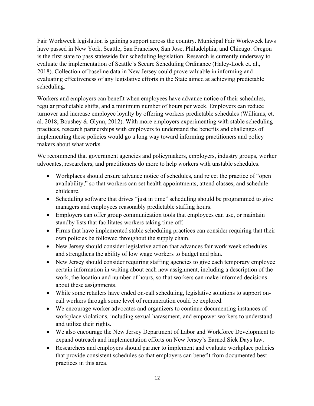Fair Workweek legislation is gaining support across the country. Municipal Fair Workweek laws have passed in New York, Seattle, San Francisco, San Jose, Philadelphia, and Chicago. Oregon is the first state to pass statewide fair scheduling legislation. Research is currently underway to evaluate the implementation of Seattle's Secure Scheduling Ordinance (Haley-Lock et. al., 2018). Collection of baseline data in New Jersey could prove valuable in informing and evaluating effectiveness of any legislative efforts in the State aimed at achieving predictable scheduling.

Workers and employers can benefit when employees have advance notice of their schedules, regular predictable shifts, and a minimum number of hours per week. Employers can reduce turnover and increase employee loyalty by offering workers predictable schedules (Williams, et. al. 2018; Boushey & Glynn, 2012). With more employers experimenting with stable scheduling practices, research partnerships with employers to understand the benefits and challenges of implementing these policies would go a long way toward informing practitioners and policy makers about what works.

We recommend that government agencies and policymakers, employers, industry groups, worker advocates, researchers, and practitioners do more to help workers with unstable schedules.

- Workplaces should ensure advance notice of schedules, and reject the practice of "open" availability," so that workers can set health appointments, attend classes, and schedule childcare.
- Scheduling software that drives "just in time" scheduling should be programmed to give managers and employees reasonably predictable staffing hours.
- Employers can offer group communication tools that employees can use, or maintain standby lists that facilitates workers taking time off.
- Firms that have implemented stable scheduling practices can consider requiring that their own policies be followed throughout the supply chain.
- New Jersey should consider legislative action that advances fair work week schedules and strengthens the ability of low wage workers to budget and plan.
- New Jersey should consider requiring staffing agencies to give each temporary employee certain information in writing about each new assignment, including a description of the work, the location and number of hours, so that workers can make informed decisions about these assignments.
- While some retailers have ended on-call scheduling, legislative solutions to support oncall workers through some level of remuneration could be explored.
- We encourage worker advocates and organizers to continue documenting instances of workplace violations, including sexual harassment, and empower workers to understand and utilize their rights.
- We also encourage the New Jersey Department of Labor and Workforce Development to expand outreach and implementation efforts on New Jersey's Earned Sick Days law.
- Researchers and employers should partner to implement and evaluate workplace policies that provide consistent schedules so that employers can benefit from documented best practices in this area.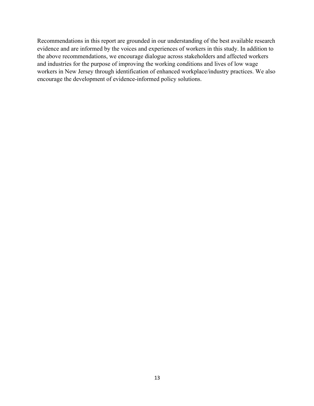Recommendations in this report are grounded in our understanding of the best available research evidence and are informed by the voices and experiences of workers in this study. In addition to the above recommendations, we encourage dialogue across stakeholders and affected workers and industries for the purpose of improving the working conditions and lives of low wage workers in New Jersey through identification of enhanced workplace/industry practices. We also encourage the development of evidence-informed policy solutions.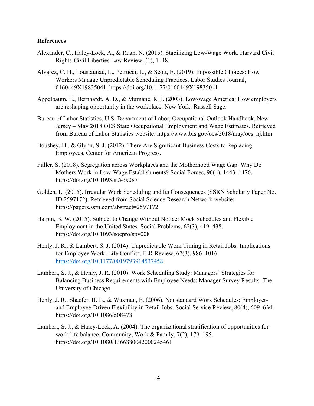#### **References**

- Alexander, C., Haley-Lock, A., & Ruan, N. (2015). Stabilizing Low-Wage Work. Harvard Civil Rights-Civil Liberties Law Review, (1), 1–48.
- Alvarez, C. H., Loustaunau, L., Petrucci, L., & Scott, E. (2019). Impossible Choices: How Workers Manage Unpredictable Scheduling Practices. Labor Studies Journal, 0160449X19835041. https://doi.org/10.1177/0160449X19835041
- Appelbaum, E., Bernhardt, A. D., & Murnane, R. J. (2003). Low-wage America: How employers are reshaping opportunity in the workplace. New York: Russell Sage.
- Bureau of Labor Statistics, U.S. Department of Labor, Occupational Outlook Handbook, New Jersey – May 2018 OES State Occupational Employment and Wage Estimates. Retrieved from Bureau of Labor Statistics website: https://www.bls.gov/oes/2018/may/oes\_nj.htm
- Boushey, H., & Glynn, S. J. (2012). There Are Significant Business Costs to Replacing Employees. Center for American Progress.
- Fuller, S. (2018). Segregation across Workplaces and the Motherhood Wage Gap: Why Do Mothers Work in Low-Wage Establishments? Social Forces, 96(4), 1443–1476. https://doi.org/10.1093/sf/sox087
- Golden, L. (2015). Irregular Work Scheduling and Its Consequences (SSRN Scholarly Paper No. ID 2597172). Retrieved from Social Science Research Network website: https://papers.ssrn.com/abstract=2597172
- Halpin, B. W. (2015). Subject to Change Without Notice: Mock Schedules and Flexible Employment in the United States. Social Problems, 62(3), 419–438. https://doi.org/10.1093/socpro/spv008
- Henly, J. R., & Lambert, S. J. (2014). Unpredictable Work Timing in Retail Jobs: Implications for Employee Work–Life Conflict. ILR Review, 67(3), 986–1016. <https://doi.org/10.1177/0019793914537458>
- Lambert, S. J., & Henly, J. R. (2010). Work Scheduling Study: Managers' Strategies for Balancing Business Requirements with Employee Needs: Manager Survey Results. The University of Chicago.
- Henly, J. R., Shaefer, H. L., & Waxman, E. (2006). Nonstandard Work Schedules: Employer‐ and Employee‐Driven Flexibility in Retail Jobs. Social Service Review, 80(4), 609–634. https://doi.org/10.1086/508478
- Lambert, S. J., & Haley-Lock, A. (2004). The organizational stratification of opportunities for work-life balance. Community, Work & Family, 7(2), 179–195. https://doi.org/10.1080/1366880042000245461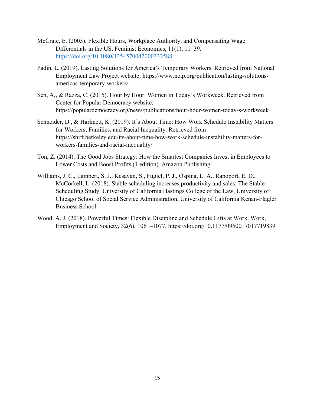- McCrate, E. (2005). Flexible Hours, Workplace Authority, and Compensating Wage Differentials in the US. Feminist Economics, 11(1), 11–39. <https://doi.org/10.1080/1354570042000332588>
- Padin, L. (2019). Lasting Solutions for America's Temporary Workers. Retrieved from National Employment Law Project website: https://www.nelp.org/publication/lasting-solutionsamericas-temporary-workers/
- Sen, A., & Razza, C. (2015). Hour by Hour: Women in Today's Workweek. Retrieved from Center for Popular Democracy website: https://populardemocracy.org/news/publications/hour-hour-women-today-s-workweek
- Schneider, D., & Harknett, K. (2019). It's About Time: How Work Schedule Instability Matters for Workers, Families, and Racial Inequality. Retrieved from https://shift.berkeley.edu/its-about-time-how-work-schedule-instability-matters-forworkers-families-and-racial-inequality/
- Ton, Z. (2014). The Good Jobs Strategy: How the Smartest Companies Invest in Employees to Lower Costs and Boost Profits (1 edition). Amazon Publishing.
- Williams, J. C., Lambert, S. J., Kesavan, S., Fugiel, P. J., Ospina, L. A., Rapoport, E. D., McCorkell, L. (2018). Stable scheduling increases productivity and sales: The Stable Scheduling Study. University of California Hastings College of the Law, University of Chicago School of Social Service Administration, University of California Kenan-Flagler Business School.
- Wood, A. J. (2018). Powerful Times: Flexible Discipline and Schedule Gifts at Work. Work, Employment and Society, 32(6), 1061–1077. https://doi.org/10.1177/0950017017719839